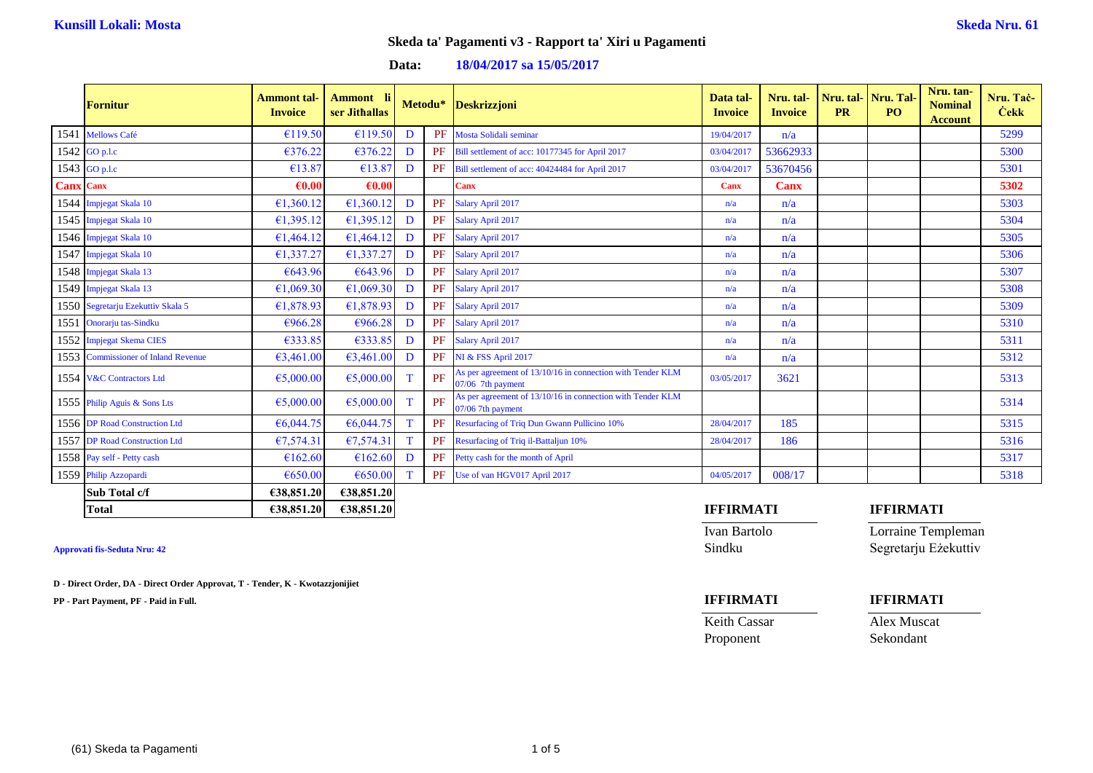### **Data: 18/04/2017 sa 15/05/2017**

|                  | <b>Fornitur</b>                     | <b>Ammont</b> tal-<br><b>Invoice</b> | <b>Ammont</b><br>ser Jithallas |             | Metodu* | <b>Deskrizzjoni</b>                                                             | Data tal-<br><b>Invoice</b> | Nru. tal-<br><b>Invoice</b> | <b>PR</b> | Nru. tal- Nru. Tal-<br>P <sub>O</sub> | Nru. tan-<br><b>Nominal</b><br><b>Account</b> | Nru. Tac-<br><b>Cekk</b> |
|------------------|-------------------------------------|--------------------------------------|--------------------------------|-------------|---------|---------------------------------------------------------------------------------|-----------------------------|-----------------------------|-----------|---------------------------------------|-----------------------------------------------|--------------------------|
|                  | 1541 Mellows Café                   | €119.50                              | €119.50                        | D           | PF      | Mosta Solidali seminar                                                          | 19/04/2017                  | n/a                         |           |                                       |                                               | 5299                     |
|                  | 1542 GO p.l.c                       | €376.22                              | €376.22                        | D           | PF      | Bill settlement of acc: 10177345 for April 2017                                 | 03/04/2017                  | 53662933                    |           |                                       |                                               | 5300                     |
|                  | 1543 GO p.l.c                       | €13.87                               | €13.87                         | D           | PF      | Bill settlement of acc: 40424484 for April 2017                                 | 03/04/2017                  | 53670456                    |           |                                       |                                               | 5301                     |
| <b>Canx Canx</b> |                                     | $\epsilon$ 0.00                      | $\epsilon$ <sub>0.00</sub>     |             |         | <b>Canx</b>                                                                     | <b>Canx</b>                 | <b>Canx</b>                 |           |                                       |                                               | 5302                     |
|                  | 1544 Impjegat Skala 10              | €1,360.12                            | £1,360.12                      | D           | PF      | Salary April 2017                                                               | n/a                         | n/a                         |           |                                       |                                               | 5303                     |
|                  | 1545 Impjegat Skala 10              | €1,395.12                            | £1,395.12                      | D           | PF      | Salary April 2017                                                               | n/a                         | n/a                         |           |                                       |                                               | 5304                     |
|                  | 1546 Impjegat Skala 10              | €1,464.12                            | £1,464.12                      | D           | PF      | Salary April 2017                                                               | n/a                         | n/a                         |           |                                       |                                               | 5305                     |
|                  | 1547 Impjegat Skala 10              | €1,337.27                            | €1,337.27                      | D           | PF      | Salary April 2017                                                               | n/a                         | n/a                         |           |                                       |                                               | 5306                     |
|                  | 1548 Impjegat Skala 13              | €643.96                              | €643.96                        | D           | PF      | Salary April 2017                                                               | n/a                         | n/a                         |           |                                       |                                               | 5307                     |
|                  | 1549 Impjegat Skala 13              | €1,069.30                            | €1,069.30                      | D           | PF      | Salary April 2017                                                               | n/a                         | n/a                         |           |                                       |                                               | 5308                     |
|                  | 1550 Segretarju Ezekuttiv Skala 5   | £1,878.93                            | €1,878.93                      | D           | PF      | Salary April 2017                                                               | n/a                         | n/a                         |           |                                       |                                               | 5309                     |
|                  | 1551 Onorarju tas-Sindku            | €966.28                              | €966.28                        | D           | PF      | Salary April 2017                                                               | n/a                         | n/a                         |           |                                       |                                               | 5310                     |
|                  | 1552 Impjegat Skema CIES            | €333.85                              | €333.85                        | D           | PF      | Salary April 2017                                                               | n/a                         | n/a                         |           |                                       |                                               | 5311                     |
|                  | 1553 Commissioner of Inland Revenue | €3,461.00                            | 63,461.00                      | D           | PF      | NI & FSS April 2017                                                             | n/a                         | n/a                         |           |                                       |                                               | 5312                     |
|                  | 1554 V&C Contractors Ltd            | €5,000.00                            | €5,000.00                      | $\mathbf T$ | PF      | As per agreement of 13/10/16 in connection with Tender KLM<br>07/06 7th payment | 03/05/2017                  | 3621                        |           |                                       |                                               | 5313                     |
|                  | 1555 Philip Aguis & Sons Lts        | €5,000.00                            | €5,000.00                      | T           | PF      | As per agreement of 13/10/16 in connection with Tender KLM<br>07/06 7th payment |                             |                             |           |                                       |                                               | 5314                     |
|                  | 1556 DP Road Construction Ltd       | €6,044.75                            | €6,044.75                      | T           | PF      | <b>Resurfacing of Triq Dun Gwann Pullicino 10%</b>                              | 28/04/2017                  | 185                         |           |                                       |                                               | 5315                     |
|                  | 1557 DP Road Construction Ltd       | €7,574.31                            | €7,574.31                      | T           | PF      | Resurfacing of Triq il-Battaljun 10%                                            | 28/04/2017                  | 186                         |           |                                       |                                               | 5316                     |
|                  | 1558 Pay self - Petty cash          | €162.60                              | €162.60                        | D           | PF      | Petty cash for the month of April                                               |                             |                             |           |                                       |                                               | 5317                     |
|                  | 1559 Philip Azzopardi               | €650.00                              | €650.00                        |             | PF      | Use of van HGV017 April 2017                                                    | 04/05/2017                  | 008/17                      |           |                                       |                                               | 5318                     |
|                  | Sub Total c/f                       | €38,851.20                           | €38,851.20                     |             |         |                                                                                 |                             |                             |           |                                       |                                               |                          |
|                  | <b>Total</b>                        | €38,851.20                           | €38,851.20                     |             |         |                                                                                 | <b>IFFIRMATI</b>            |                             |           | <b>IFFIRMATI</b>                      |                                               |                          |

**D - Direct Order, DA - Direct Order Approvat, T - Tender, K - Kwotazzjonijiet**

**PP - Part Payment, PF - Paid in Full. IFFIRMATI IFFIRMATI**

Ivan Bartolo Lorraine Templeman **Approvati fis-Seduta Nru: 42** Sindku Segretarju Eżekuttiv

Proponent Sekondant

Keith Cassar Alex Muscat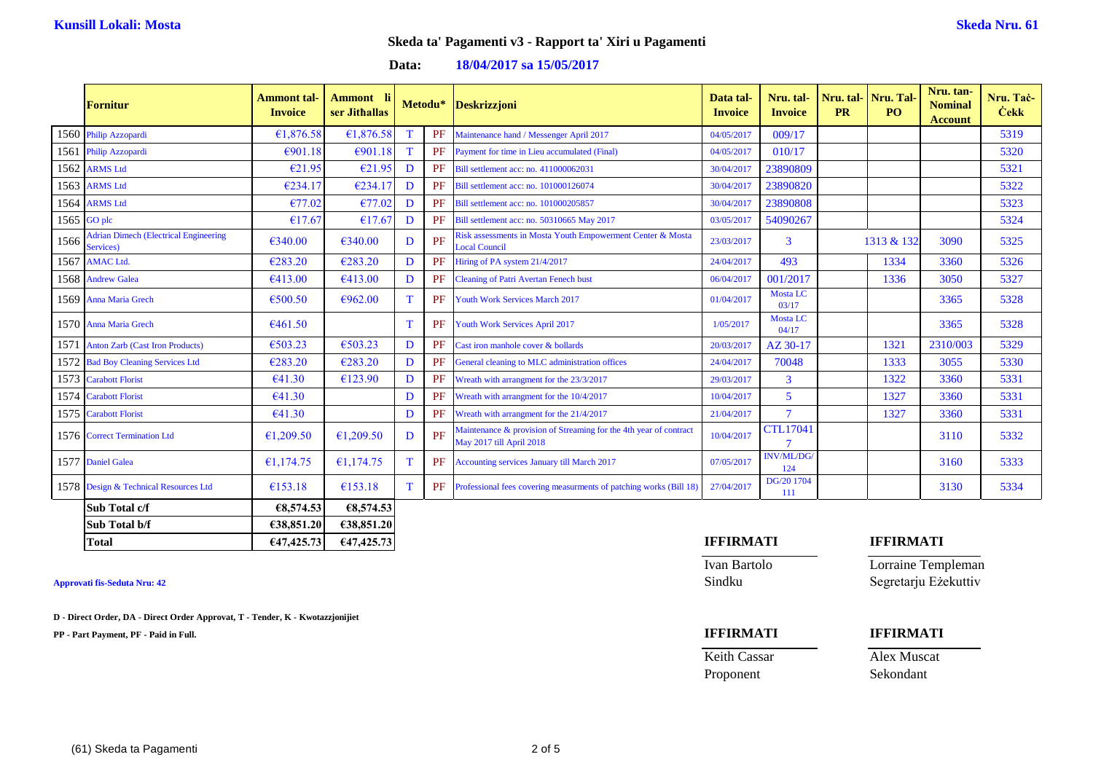### **Data: 18/04/2017 sa 15/05/2017**

|      | <b>Fornitur</b>                                           | <b>Ammont</b> tal-<br><b>Invoice</b> | Ammont li<br>ser Jithallas |    | Metodu*   | <b>Deskrizzjoni</b>                                                                           | Data tal-<br><b>Invoice</b> | Nru. tal-<br><b>Invoice</b> | <b>PR</b> | Nru. tal-Nru. Tal<br>PO. | Nru. tan-<br><b>Nominal</b><br><b>Account</b> | Nru. Tac-<br><b>Čekk</b> |
|------|-----------------------------------------------------------|--------------------------------------|----------------------------|----|-----------|-----------------------------------------------------------------------------------------------|-----------------------------|-----------------------------|-----------|--------------------------|-----------------------------------------------|--------------------------|
| 1560 | Philip Azzopardi                                          | €1,876.58                            | €1,876.58                  |    | PF        | Maintenance hand / Messenger April 2017                                                       | 04/05/2017                  | 009/17                      |           |                          |                                               | 5319                     |
| 1561 | Philip Azzopardi                                          | €901.18                              | €901.18                    | T  | PF        | Payment for time in Lieu accumulated (Final)                                                  | 04/05/2017                  | 010/17                      |           |                          |                                               | 5320                     |
| 1562 | <b>ARMS</b> Ltd                                           | €21.95                               | €21.95                     | D  | PF        | Bill settlement acc: no. 411000062031                                                         | 30/04/2017                  | 23890809                    |           |                          |                                               | 5321                     |
| 1563 | <b>ARMS Ltd</b>                                           | €234.17                              | €234.17                    | D  | <b>PF</b> | Bill settlement acc: no. 101000126074                                                         | 30/04/2017                  | 23890820                    |           |                          |                                               | 5322                     |
| 1564 | <b>ARMS</b> Ltd                                           | €77.02                               | €77.02                     | D  | PF        | Bill settlement acc: no. 101000205857                                                         | 30/04/2017                  | 23890808                    |           |                          |                                               | 5323                     |
|      | 1565 GO plc                                               | €17.67                               | €17.67                     | D  | <b>PF</b> | Bill settlement acc: no. 50310665 May 2017                                                    | 03/05/2017                  | 54090267                    |           |                          |                                               | 5324                     |
| 1566 | <b>Adrian Dimech (Electrical Engineering</b><br>Services) | €340.00                              | €340.00                    | D  | PF        | Risk assessments in Mosta Youth Empowerment Center & Mosta<br><b>Local Council</b>            | 23/03/2017                  | 3                           |           | 1313 & 132               | 3090                                          | 5325                     |
|      | 1567 AMAC Ltd.                                            | €283.20                              | €283.20                    | D  | <b>PF</b> | Hiring of PA system 21/4/2017                                                                 | 24/04/2017                  | 493                         |           | 1334                     | 3360                                          | 5326                     |
|      | 1568 Andrew Galea                                         | €413.00                              | €413.00                    | D  | <b>PF</b> | <b>Cleaning of Patri Avertan Fenech bust</b>                                                  | 06/04/2017                  | 001/2017                    |           | 1336                     | 3050                                          | 5327                     |
|      | 1569 Anna Maria Grech                                     | €500.50                              | €962.00                    |    | <b>PF</b> | <b>Youth Work Services March 2017</b>                                                         | 01/04/2017                  | <b>Mosta LC</b><br>03/17    |           |                          | 3365                                          | 5328                     |
|      | 1570 Anna Maria Grech                                     | €461.50                              |                            |    | PF        | Youth Work Services April 2017                                                                | 1/05/2017                   | <b>Mosta LC</b><br>04/17    |           |                          | 3365                                          | 5328                     |
|      | 1571 Anton Zarb (Cast Iron Products)                      | €503.23                              | €503.23                    | D  | PF        | Cast iron manhole cover & bollards                                                            | 20/03/2017                  | AZ 30-17                    |           | 1321                     | 2310/003                                      | 5329                     |
|      | 1572 Bad Boy Cleaning Services Ltd                        | €283.20                              | €283.20                    | D  | <b>PF</b> | General cleaning to MLC administration offices                                                | 24/04/2017                  | 70048                       |           | 1333                     | 3055                                          | 5330                     |
|      | 1573 Carabott Florist                                     | €41.30                               | €123.90                    | D  | PF        | Wreath with arrangment for the 23/3/2017                                                      | 29/03/2017                  | 3                           |           | 1322                     | 3360                                          | 5331                     |
|      | 1574 Carabott Florist                                     | €41.30                               |                            | D  | <b>PF</b> | Wreath with arrangment for the 10/4/2017                                                      | 10/04/2017                  | 5                           |           | 1327                     | 3360                                          | 5331                     |
|      | 1575 Carabott Florist                                     | €41.30                               |                            | D  | <b>PF</b> | Wreath with arrangment for the 21/4/2017                                                      | 21/04/2017                  | $\overline{7}$              |           | 1327                     | 3360                                          | 5331                     |
|      | 1576 Correct Termination Ltd                              | €1,209.50                            | £1,209.50                  | D  | PF        | Maintenance & provision of Streaming for the 4th year of contract<br>May 2017 till April 2018 | 10/04/2017                  | <b>CTL17041</b>             |           |                          | 3110                                          | 5332                     |
|      | 1577 Daniel Galea                                         | €1,174.75                            | €1,174.75                  | T  | PF        | Accounting services January till March 2017                                                   | 07/05/2017                  | <b>INV/ML/DG</b><br>124     |           |                          | 3160                                          | 5333                     |
|      | 1578 Design & Technical Resources Ltd                     | €153.18                              | €153.18                    | T. | PF        | Professional fees covering measurments of patching works (Bill 18)                            | 27/04/2017                  | DG/20 1704<br>111           |           |                          | 3130                                          | 5334                     |
|      | Sub Total c/f                                             | €8,574.53                            | €8,574.53                  |    |           |                                                                                               |                             |                             |           |                          |                                               |                          |
|      | Sub Total b/f                                             | 638,851.20                           | €38,851.20                 |    |           |                                                                                               |                             |                             |           |                          |                                               |                          |

**D - Direct Order, DA - Direct Order Approvat, T - Tender, K - Kwotazzjonijiet**

**PP - Part Payment, PF - Paid in Full. IFFIRMATI IFFIRMATI**

### **Total €47,425.73 €47,425.73 IFFIRMATI IFFIRMATI**

# Ivan Bartolo Lorraine Templeman

**Approvati fis-Seduta Nru: 42** Sindku Segretarju Eżekuttiv

Proponent Sekondant

Keith Cassar Alex Muscat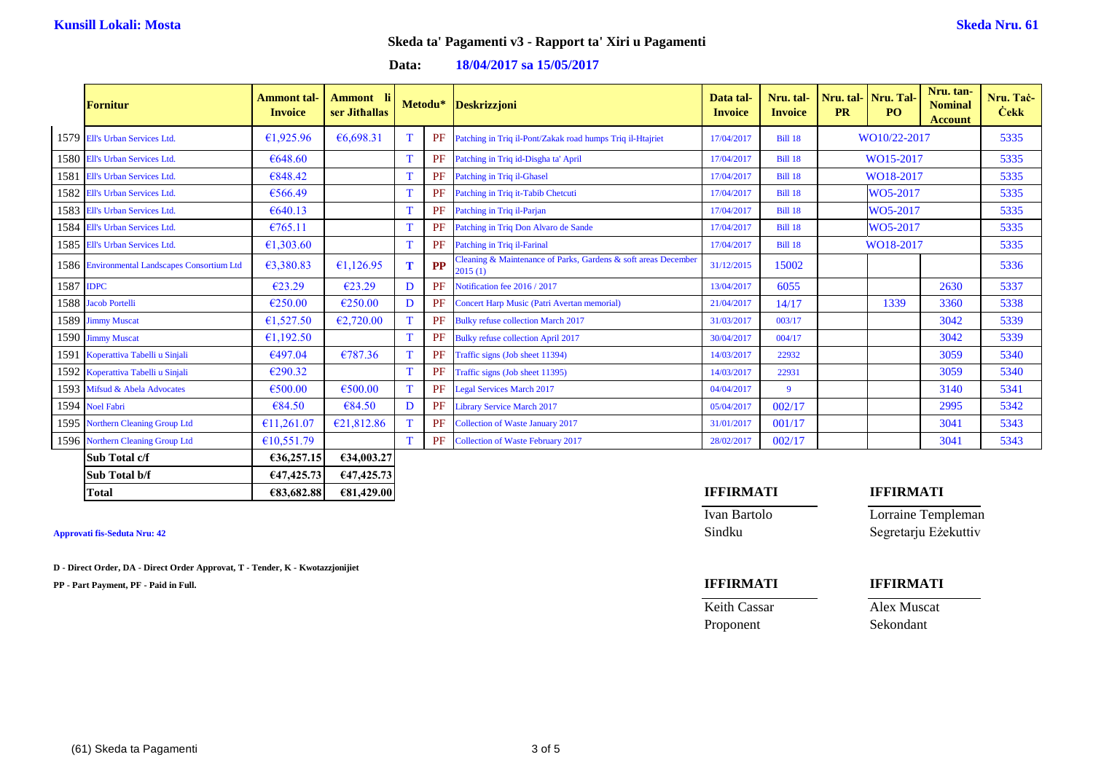### **Data: 18/04/2017 sa 15/05/2017**

|           | <b>Fornitur</b>                              | <b>Ammont</b> tal-<br><b>Invoice</b> | <b>Ammont</b><br>ser Jithallas |   | Metodu*   | <b>Deskrizzjoni</b>                                                       | Data tal-<br><b>Invoice</b> | Nru. tal-<br><b>Invoice</b> | <b>PR</b>    | Nru. tal- Nru. Tal-<br>PO <sub>1</sub> | Nru. tan-<br><b>Nominal</b><br><b>Account</b> | Nru. Tac-<br><b>Cekk</b> |
|-----------|----------------------------------------------|--------------------------------------|--------------------------------|---|-----------|---------------------------------------------------------------------------|-----------------------------|-----------------------------|--------------|----------------------------------------|-----------------------------------------------|--------------------------|
|           | 1579 Ell's Urban Services Ltd.               | €1,925.96                            | €6,698.31                      |   | PF        | Patching in Triq il-Pont/Zakak road humps Triq il-Htajriet                | 17/04/2017                  | <b>Bill 18</b>              | WO10/22-2017 |                                        |                                               | 5335                     |
|           | 1580 Ell's Urban Services Ltd.               | €648.60                              |                                |   | PF        | Patching in Triq id-Disgha ta' April                                      | 17/04/2017                  | <b>Bill 18</b>              | WO15-2017    |                                        |                                               | 5335                     |
|           | 1581 Ell's Urban Services Ltd.               | €848.42                              |                                |   | PF        | Patching in Triq il-Ghasel                                                | 17/04/2017                  | <b>Bill 18</b>              | WO18-2017    |                                        |                                               | 5335                     |
|           | 1582 Ell's Urban Services Ltd.               | €566.49                              |                                |   | <b>PF</b> | Patching in Triq it-Tabib Chetcuti                                        | 17/04/2017                  | <b>Bill 18</b>              |              | WO5-2017                               |                                               | 5335                     |
|           | 1583 Ell's Urban Services Ltd.               | €640.13                              |                                |   | <b>PF</b> | Patching in Triq il-Parjan                                                | 17/04/2017                  | <b>Bill 18</b>              |              | WO5-2017                               |                                               | 5335                     |
|           | 1584 Ell's Urban Services Ltd.               | €765.11                              |                                |   | <b>PF</b> | Patching in Triq Don Alvaro de Sande                                      | 17/04/2017                  | <b>Bill 18</b>              |              | WO5-2017                               |                                               | 5335                     |
|           | 1585 Ell's Urban Services Ltd.               | €1,303.60                            |                                |   | PF        | Patching in Triq il-Farinal                                               | 17/04/2017                  | <b>Bill 18</b>              |              | WO18-2017                              |                                               | 5335                     |
|           | 1586 Environmental Landscapes Consortium Ltd | €3,380.83                            | €1,126.95                      | T | <b>PP</b> | Cleaning & Maintenance of Parks, Gardens & soft areas December<br>2015(1) | 31/12/2015                  | 15002                       |              |                                        |                                               | 5336                     |
| 1587 IDPC |                                              | €23.29                               | €23.29                         | D | PF        | Notification fee 2016 / 2017                                              | 13/04/2017                  | 6055                        |              |                                        | 2630                                          | 5337                     |
|           | 1588 Jacob Portelli                          | €250.00                              | €250.00                        | D | PF        | Concert Harp Music (Patri Avertan memorial)                               | 21/04/2017                  | 14/17                       |              | 1339                                   | 3360                                          | 5338                     |
|           | 1589 Jimmy Muscat                            | €1,527.50                            | €2,720.00                      |   | <b>PF</b> | <b>Bulky refuse collection March 2017</b>                                 | 31/03/2017                  | 003/17                      |              |                                        | 3042                                          | 5339                     |
|           | 1590 Jimmy Muscat                            | £1,192.50                            |                                |   | <b>PF</b> | <b>Bulky refuse collection April 2017</b>                                 | 30/04/2017                  | 004/17                      |              |                                        | 3042                                          | 5339                     |
|           | 1591 Koperattiva Tabelli u Sinjali           | €497.04                              | €787.36                        |   | <b>PF</b> | Traffic signs (Job sheet 11394)                                           | 14/03/2017                  | 22932                       |              |                                        | 3059                                          | 5340                     |
|           | 1592 Koperattiva Tabelli u Sinjali           | €290.32                              |                                |   | PF        | Traffic signs (Job sheet 11395)                                           | 14/03/2017                  | 22931                       |              |                                        | 3059                                          | 5340                     |
|           | 1593 Mifsud & Abela Advocates                | €500.00                              | €500.00                        |   | PF        | <b>Legal Services March 2017</b>                                          | 04/04/2017                  | 9                           |              |                                        | 3140                                          | 5341                     |
|           | 1594 Noel Fabri                              | €84.50                               | €84.50                         | D | <b>PF</b> | <b>Library Service March 2017</b>                                         | 05/04/2017                  | 002/17                      |              |                                        | 2995                                          | 5342                     |
|           | 1595 Northern Cleaning Group Ltd             | €11,261.07                           | €21,812.86                     |   | <b>PF</b> | Collection of Waste January 2017                                          | 31/01/2017                  | 001/17                      |              |                                        | 3041                                          | 5343                     |
|           | 1596 Northern Cleaning Group Ltd             | £10,551.79                           |                                |   | PF        | Collection of Waste February 2017                                         | 28/02/2017                  | 002/17                      |              |                                        | 3041                                          | 5343                     |
|           | Sub Total c/f                                | €36,257.15                           | €34,003.27                     |   |           |                                                                           |                             |                             |              |                                        |                                               |                          |
|           | Sub Total b/f                                | 647,425.73                           | €47,425.73                     |   |           |                                                                           |                             |                             |              |                                        |                                               |                          |

**D - Direct Order, DA - Direct Order Approvat, T - Tender, K - Kwotazzjonijiet**

**PP - Part Payment, PF - Paid in Full. IFFIRMATI IFFIRMATI**

### **Total €83,682.88 €81,429.00 IFFIRMATI IFFIRMATI**

Ivan Bartolo Lorraine Templeman **Approvati fis-Seduta Nru: 42** Sindku Segretarju Eżekuttiv

Keith Cassar Alex Muscat Proponent Sekondant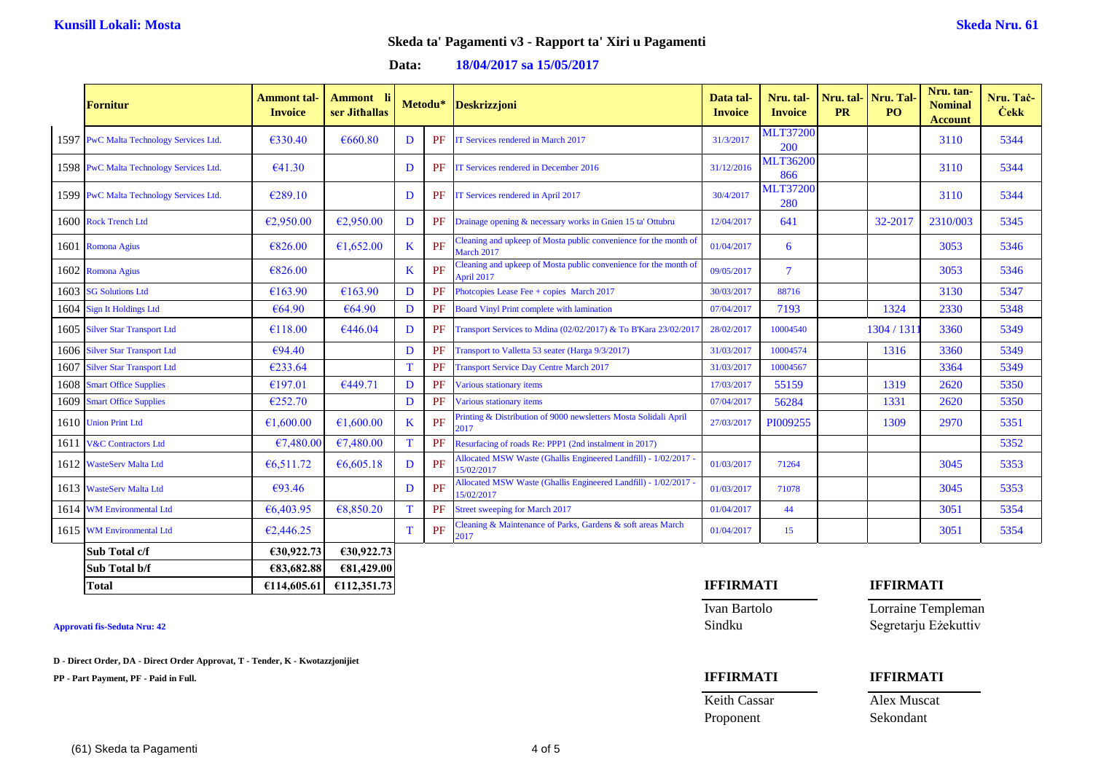### **Data: 18/04/2017 sa 15/05/2017**

| <b>Fornitur</b>                         | <b>Ammont</b> tal-<br><b>Invoice</b> | <b>Ammont</b> li<br>ser Jithallas |   | Metodu*   | <b>Deskrizzjoni</b>                                                            | Data tal-<br><b>Invoice</b> | Nru. tal-<br><b>Invoice</b> | <b>PR</b> | Nru. tal- Nru. Tal-<br>P <sub>O</sub> | Nru. tan-<br><b>Nominal</b><br><b>Account</b> | Nru. Tač-<br><b>Cekk</b> |
|-----------------------------------------|--------------------------------------|-----------------------------------|---|-----------|--------------------------------------------------------------------------------|-----------------------------|-----------------------------|-----------|---------------------------------------|-----------------------------------------------|--------------------------|
| 1597 PwC Malta Technology Services Ltd. | €330.40                              | €660.80                           | D | PF        | IT Services rendered in March 2017                                             | 31/3/2017                   | <b>MLT37200</b><br>200      |           |                                       | 3110                                          | 5344                     |
| 1598 PwC Malta Technology Services Ltd. | €41.30                               |                                   | D | PF        | IT Services rendered in December 2016                                          | 31/12/2016                  | <b>MLT36200</b><br>866      |           |                                       | 3110                                          | 5344                     |
| 1599 PwC Malta Technology Services Ltd. | €289.10                              |                                   | D | PF        | IT Services rendered in April 2017                                             | 30/4/2017                   | <b>MLT37200</b><br>280      |           |                                       | 3110                                          | 5344                     |
| 1600 Rock Trench Ltd                    | €2,950.00                            | €2,950.00                         | D | PF        | Drainage opening & necessary works in Gnien 15 ta' Ottubru                     | 12/04/2017                  | 641                         |           | 32-2017                               | 2310/003                                      | 5345                     |
| 1601 Romona Agius                       | €826.00                              | €1,652.00                         | K | PF        | leaning and upkeep of Mosta public convenience for the month of<br>March 2017  | 01/04/2017                  | 6                           |           |                                       | 3053                                          | 5346                     |
| 1602 Romona Agius                       | €826.00                              |                                   | K | PF        | Cleaning and upkeep of Mosta public convenience for the month of<br>April 2017 | 09/05/2017                  | $\tau$                      |           |                                       | 3053                                          | 5346                     |
| 1603 SG Solutions Ltd                   | €163.90                              | €163.90                           | D | <b>PF</b> | Photcopies Lease Fee + copies March 2017                                       | 30/03/2017                  | 88716                       |           |                                       | 3130                                          | 5347                     |
| 1604 Sign It Holdings Ltd               | €64.90                               | €64.90                            | D | PF        | Board Vinyl Print complete with lamination                                     | 07/04/2017                  | 7193                        |           | 1324                                  | 2330                                          | 5348                     |
| 1605 Silver Star Transport Ltd          | €118.00                              | €446.04                           | D | <b>PF</b> | Transport Services to Mdina (02/02/2017) & To B'Kara 23/02/2017                | 28/02/2017                  | 10004540                    |           | 1304 / 131                            | 3360                                          | 5349                     |
| 1606 Silver Star Transport Ltd          | €94.40                               |                                   | D | PF        | Transport to Valletta 53 seater (Harga 9/3/2017)                               | 31/03/2017                  | 10004574                    |           | 1316                                  | 3360                                          | 5349                     |
| 1607 Silver Star Transport Ltd          | €233.64                              |                                   | T | <b>PF</b> | <b>Transport Service Day Centre March 2017</b>                                 | 31/03/2017                  | 10004567                    |           |                                       | 3364                                          | 5349                     |
| 1608 Smart Office Supplies              | €197.01                              | €449.71                           | D | PF        | Various stationary items                                                       | 17/03/2017                  | 55159                       |           | 1319                                  | 2620                                          | 5350                     |
| 1609 Smart Office Supplies              | €252.70                              |                                   | D | PF        | Various stationary items                                                       | 07/04/2017                  | 56284                       |           | 1331                                  | 2620                                          | 5350                     |
| 1610 Union Print Ltd                    | €1,600.00                            | €1,600.00                         | K | PF        | Printing & Distribution of 9000 newsletters Mosta Solidali April<br>2017       | 27/03/2017                  | PI009255                    |           | 1309                                  | 2970                                          | 5351                     |
| 1611 V&C Contractors Ltd                | €7,480.00                            | €7,480.00                         | T | PF        | Resurfacing of roads Re: PPP1 (2nd instalment in 2017)                         |                             |                             |           |                                       |                                               | 5352                     |
| 1612 WasteServ Malta Ltd                | €6,511.72                            | €6,605.18                         | D | PF        | Allocated MSW Waste (Ghallis Engineered Landfill) - 1/02/2017<br>15/02/2017    | 01/03/2017                  | 71264                       |           |                                       | 3045                                          | 5353                     |
| 1613 WasteServ Malta Ltd                | €93.46                               |                                   | D | PF        | Allocated MSW Waste (Ghallis Engineered Landfill) - 1/02/2017<br>5/02/2017     | 01/03/2017                  | 71078                       |           |                                       | 3045                                          | 5353                     |
| 1614 WM Environmental Ltd               | €6,403.95                            | €8,850.20                         | T | PF        | Street sweeping for March 2017                                                 | 01/04/2017                  | 44                          |           |                                       | 3051                                          | 5354                     |
| 1615 WM Environmental Ltd               | €2,446.25                            |                                   | T | PF        | Cleaning & Maintenance of Parks, Gardens & soft areas March<br>2017            | 01/04/2017                  | 15                          |           |                                       | 3051                                          | 5354                     |
| Sub Total c/f                           | €30,922.73                           | €30,922.73                        |   |           |                                                                                |                             |                             |           |                                       |                                               |                          |
| Sub Total b/f                           | €83,682.88                           | €81,429.00                        |   |           |                                                                                |                             |                             |           |                                       |                                               |                          |

| <b>Approvati fis-Seduta Nru: 42</b> |  |  |
|-------------------------------------|--|--|
|-------------------------------------|--|--|

**D - Direct Order, DA - Direct Order Approvat, T - Tender, K - Kwotazzjonijiet**

**PP - Part Payment, PF - Paid in Full. IFFIRMATI IFFIRMATI**

## **Total €114,605.61 €112,351.73 IFFIRMATI IFFIRMATI**

Ivan Bartolo Lorraine Templeman **Approvati fis-Seduta Nru: 42** Sindku Segretarju Eżekuttiv

Keith Cassar Alex Muscat

## Proponent Sekondant